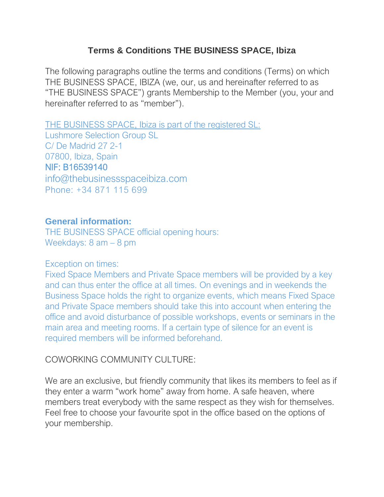### **Terms & Conditions THE BUSINESS SPACE, Ibiza**

The following paragraphs outline the terms and conditions (Terms) on which THE BUSINESS SPACE, IBIZA (we, our, us and hereinafter referred to as "THE BUSINESS SPACE") grants Membership to the Member (you, your and hereinafter referred to as "member").

THE BUSINESS SPACE, Ibiza is part of the registered SL: Lushmore Selection Group SL C/ De Madrid 27 2-1 07800, Ibiza, Spain NIF: B16539140 [info@thebusinessspaceibiza.com](mailto:info@thebusinessspaceibiza.com) Phone: +34 871 115 699

#### **General information:**

THE BUSINESS SPACE official opening hours: Weekdays: 8 am – 8 pm

#### Exception on times:

Fixed Space Members and Private Space members will be provided by a key and can thus enter the office at all times. On evenings and in weekends the Business Space holds the right to organize events, which means Fixed Space and Private Space members should take this into account when entering the office and avoid disturbance of possible workshops, events or seminars in the main area and meeting rooms. If a certain type of silence for an event is required members will be informed beforehand.

#### COWORKING COMMUNITY CULTURE:

We are an exclusive, but friendly community that likes its members to feel as if they enter a warm "work home" away from home. A safe heaven, where members treat everybody with the same respect as they wish for themselves. Feel free to choose your favourite spot in the office based on the options of your membership.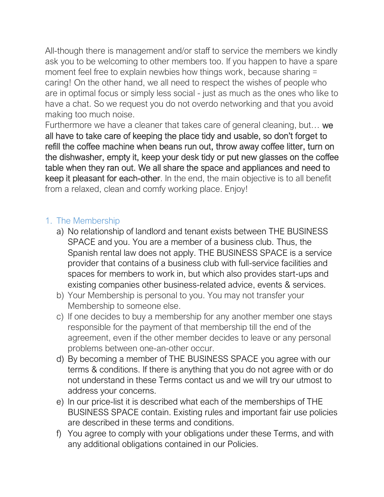All-though there is management and/or staff to service the members we kindly ask you to be welcoming to other members too. If you happen to have a spare moment feel free to explain newbies how things work, because sharing = caring! On the other hand, we all need to respect the wishes of people who are in optimal focus or simply less social - just as much as the ones who like to have a chat. So we request you do not overdo networking and that you avoid making too much noise.

Furthermore we have a cleaner that takes care of general cleaning, but... we all have to take care of keeping the place tidy and usable, so don't forget to refill the coffee machine when beans run out, throw away coffee litter, turn on the dishwasher, empty it, keep your desk tidy or put new glasses on the coffee table when they ran out. We all share the space and appliances and need to keep it pleasant for each-other. In the end, the main objective is to all benefit from a relaxed, clean and comfy working place. Enjoy!

## 1. The Membership

- a) No relationship of landlord and tenant exists between THE BUSINESS SPACE and you. You are a member of a business club. Thus, the Spanish rental law does not apply. THE BUSINESS SPACE is a service provider that contains of a business club with full-service facilities and spaces for members to work in, but which also provides start-ups and existing companies other business-related advice, events & services.
- b) Your Membership is personal to you. You may not transfer your Membership to someone else.
- c) If one decides to buy a membership for any another member one stays responsible for the payment of that membership till the end of the agreement, even if the other member decides to leave or any personal problems between one-an-other occur.
- d) By becoming a member of THE BUSINESS SPACE you agree with our terms & conditions. If there is anything that you do not agree with or do not understand in these Terms contact us and we will try our utmost to address your concerns.
- e) In our price-list it is described what each of the memberships of THE BUSINESS SPACE contain. Existing rules and important fair use policies are described in these terms and conditions.
- f) You agree to comply with your obligations under these Terms, and with any additional obligations contained in our Policies.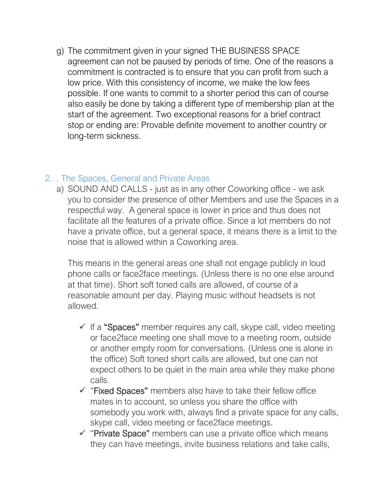g) The commitment given in your signed THE BUSINESS SPACE agreement can not be paused by periods of time. One of the reasons a commitment is contracted is to ensure that you can profit from such a low price. With this consistency of income, we make the low fees possible. If one wants to commit to a shorter period this can of course also easily be done by taking a different type of membership plan at the start of the agreement. Two exceptional reasons for a brief contract stop or ending are: Provable definite movement to another country or long-term sickness.

### 2. . The Spaces, General and Private Areas

a) SOUND AND CALLS - just as in any other Coworking office - we ask you to consider the presence of other Members and use the Spaces in a respectful way. A general space is lower in price and thus does not facilitate all the features of a private office. Since a lot members do not have a private office, but a general space, it means there is a limit to the noise that is allowed within a Coworking area.

This means in the general areas one shall not engage publicly in loud phone calls or face2face meetings. (Unless there is no one else around at that time). Short soft toned calls are allowed, of course of a reasonable amount per day. Playing music without headsets is not allowed.

- ✓ If a "Spaces" member requires any call, skype call, video meeting or face2face meeting one shall move to a meeting room, outside or another empty room for conversations. (Unless one is alone in the office) Soft toned short calls are allowed, but one can not expect others to be quiet in the main area while they make phone calls.
- ✓ "Fixed Spaces" members also have to take their fellow office mates in to account, so unless you share the office with somebody you work with, always find a private space for any calls, skype call, video meeting or face2face meetings.
- $\checkmark$  "Private Space" members can use a private office which means they can have meetings, invite business relations and take calls,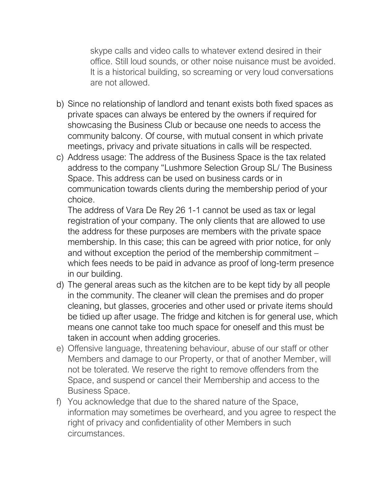skype calls and video calls to whatever extend desired in their office. Still loud sounds, or other noise nuisance must be avoided. It is a historical building, so screaming or very loud conversations are not allowed.

- b) Since no relationship of landlord and tenant exists both fixed spaces as private spaces can always be entered by the owners if required for showcasing the Business Club or because one needs to access the community balcony. Of course, with mutual consent in which private meetings, privacy and private situations in calls will be respected.
- c) Address usage: The address of the Business Space is the tax related address to the company "Lushmore Selection Group SL/ The Business Space. This address can be used on business cards or in communication towards clients during the membership period of your choice.

The address of Vara De Rey 26 1-1 cannot be used as tax or legal registration of your company. The only clients that are allowed to use the address for these purposes are members with the private space membership. In this case; this can be agreed with prior notice, for only and without exception the period of the membership commitment – which fees needs to be paid in advance as proof of long-term presence in our building.

- d) The general areas such as the kitchen are to be kept tidy by all people in the community. The cleaner will clean the premises and do proper cleaning, but glasses, groceries and other used or private items should be tidied up after usage. The fridge and kitchen is for general use, which means one cannot take too much space for oneself and this must be taken in account when adding groceries.
- e) Offensive language, threatening behaviour, abuse of our staff or other Members and damage to our Property, or that of another Member, will not be tolerated. We reserve the right to remove offenders from the Space, and suspend or cancel their Membership and access to the Business Space.
- f) You acknowledge that due to the shared nature of the Space, information may sometimes be overheard, and you agree to respect the right of privacy and confidentiality of other Members in such circumstances.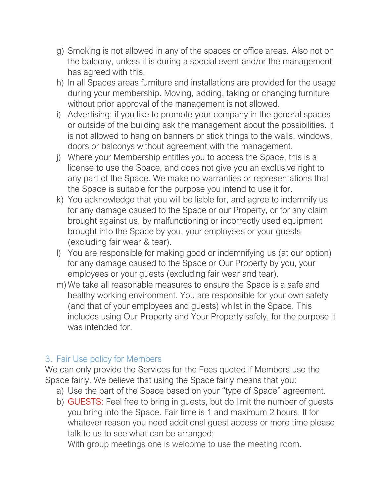- g) Smoking is not allowed in any of the spaces or office areas. Also not on the balcony, unless it is during a special event and/or the management has agreed with this.
- h) In all Spaces areas furniture and installations are provided for the usage during your membership. Moving, adding, taking or changing furniture without prior approval of the management is not allowed.
- i) Advertising; if you like to promote your company in the general spaces or outside of the building ask the management about the possibilities. It is not allowed to hang on banners or stick things to the walls, windows, doors or balconys without agreement with the management.
- j) Where your Membership entitles you to access the Space, this is a license to use the Space, and does not give you an exclusive right to any part of the Space. We make no warranties or representations that the Space is suitable for the purpose you intend to use it for.
- k) You acknowledge that you will be liable for, and agree to indemnify us for any damage caused to the Space or our Property, or for any claim brought against us, by malfunctioning or incorrectly used equipment brought into the Space by you, your employees or your guests (excluding fair wear & tear).
- l) You are responsible for making good or indemnifying us (at our option) for any damage caused to the Space or Our Property by you, your employees or your guests (excluding fair wear and tear).
- m) We take all reasonable measures to ensure the Space is a safe and healthy working environment. You are responsible for your own safety (and that of your employees and guests) whilst in the Space. This includes using Our Property and Your Property safely, for the purpose it was intended for.

## 3. Fair Use policy for Members

We can only provide the Services for the Fees quoted if Members use the Space fairly. We believe that using the Space fairly means that you:

- a) Use the part of the Space based on your "type of Space" agreement.
- b) GUESTS: Feel free to bring in guests, but do limit the number of guests you bring into the Space. Fair time is 1 and maximum 2 hours. If for whatever reason you need additional guest access or more time please talk to us to see what can be arranged;

With group meetings one is welcome to use the meeting room.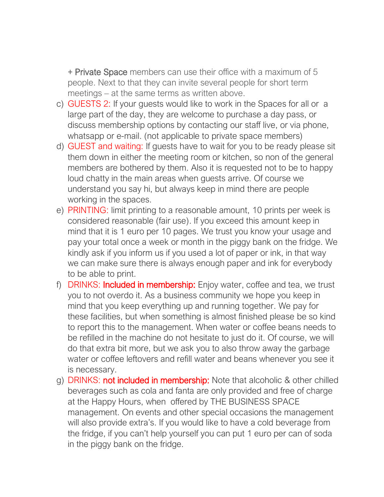+ Private Space members can use their office with a maximum of 5 people. Next to that they can invite several people for short term meetings – at the same terms as written above.

- c) GUESTS 2: If your guests would like to work in the Spaces for all or a large part of the day, they are welcome to purchase a day pass, or discuss membership options by contacting our staff live, or via phone, whatsapp or e-mail. (not applicable to private space members)
- d) GUEST and waiting: If guests have to wait for you to be ready please sit them down in either the meeting room or kitchen, so non of the general members are bothered by them. Also it is requested not to be to happy loud chatty in the main areas when guests arrive. Of course we understand you say hi, but always keep in mind there are people working in the spaces.
- e) PRINTING: limit printing to a reasonable amount, 10 prints per week is considered reasonable (fair use). If you exceed this amount keep in mind that it is 1 euro per 10 pages. We trust you know your usage and pay your total once a week or month in the piggy bank on the fridge. We kindly ask if you inform us if you used a lot of paper or ink, in that way we can make sure there is always enough paper and ink for everybody to be able to print.
- f) DRINKS: Included in membership: Enjoy water, coffee and tea, we trust you to not overdo it. As a business community we hope you keep in mind that you keep everything up and running together. We pay for these facilities, but when something is almost finished please be so kind to report this to the management. When water or coffee beans needs to be refilled in the machine do not hesitate to just do it. Of course, we will do that extra bit more, but we ask you to also throw away the garbage water or coffee leftovers and refill water and beans whenever you see it is necessary.
- g) DRINKS: not included in membership: Note that alcoholic & other chilled beverages such as cola and fanta are only provided and free of charge at the Happy Hours, when offered by THE BUSINESS SPACE management. On events and other special occasions the management will also provide extra's. If you would like to have a cold beverage from the fridge, if you can't help yourself you can put 1 euro per can of soda in the piggy bank on the fridge.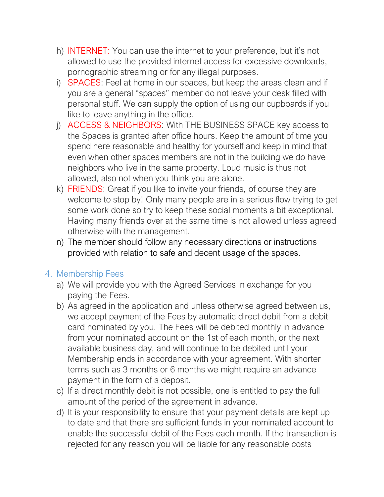- h) INTERNET: You can use the internet to your preference, but it's not allowed to use the provided internet access for excessive downloads, pornographic streaming or for any illegal purposes.
- i) SPACES: Feel at home in our spaces, but keep the areas clean and if you are a general "spaces" member do not leave your desk filled with personal stuff. We can supply the option of using our cupboards if you like to leave anything in the office.
- j) ACCESS & NEIGHBORS: With THE BUSINESS SPACE key access to the Spaces is granted after office hours. Keep the amount of time you spend here reasonable and healthy for yourself and keep in mind that even when other spaces members are not in the building we do have neighbors who live in the same property. Loud music is thus not allowed, also not when you think you are alone.
- k) FRIENDS: Great if you like to invite your friends, of course they are welcome to stop by! Only many people are in a serious flow trying to get some work done so try to keep these social moments a bit exceptional. Having many friends over at the same time is not allowed unless agreed otherwise with the management.
- n) The member should follow any necessary directions or instructions provided with relation to safe and decent usage of the spaces.

# 4. Membership Fees

- a) We will provide you with the Agreed Services in exchange for you paying the Fees.
- b) As agreed in the application and unless otherwise agreed between us, we accept payment of the Fees by automatic direct debit from a debit card nominated by you. The Fees will be debited monthly in advance from your nominated account on the 1st of each month, or the next available business day, and will continue to be debited until your Membership ends in accordance with your agreement. With shorter terms such as 3 months or 6 months we might require an advance payment in the form of a deposit.
- c) If a direct monthly debit is not possible, one is entitled to pay the full amount of the period of the agreement in advance.
- d) It is your responsibility to ensure that your payment details are kept up to date and that there are sufficient funds in your nominated account to enable the successful debit of the Fees each month. If the transaction is rejected for any reason you will be liable for any reasonable costs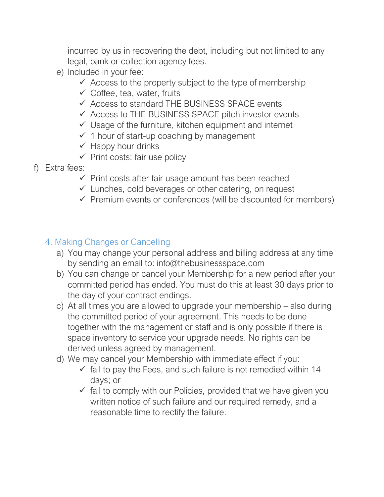incurred by us in recovering the debt, including but not limited to any legal, bank or collection agency fees.

- e) Included in your fee:
	- $\checkmark$  Access to the property subject to the type of membership
	- $\checkmark$  Coffee, tea, water, fruits
	- $\checkmark$  Access to standard THE BUSINESS SPACE events
	- $\checkmark$  Access to THE BUSINESS SPACE pitch investor events
	- $\checkmark$  Usage of the furniture, kitchen equipment and internet
	- $\checkmark$  1 hour of start-up coaching by management
	- $\checkmark$  Happy hour drinks
	- $\checkmark$  Print costs: fair use policy
- f) Extra fees:
	- $\checkmark$  Print costs after fair usage amount has been reached
	- $\checkmark$  Lunches, cold beverages or other catering, on request
	- $\checkmark$  Premium events or conferences (will be discounted for members)

# 4. Making Changes or Cancelling

- a) You may change your personal address and billing address at any time by sending an email to: info@thebusinessspace.com
- b) You can change or cancel your Membership for a new period after your committed period has ended. You must do this at least 30 days prior to the day of your contract endings.
- c) At all times you are allowed to upgrade your membership also during the committed period of your agreement. This needs to be done together with the management or staff and is only possible if there is space inventory to service your upgrade needs. No rights can be derived unless agreed by management.
- d) We may cancel your Membership with immediate effect if you:
	- $\checkmark$  fail to pay the Fees, and such failure is not remedied within 14 days; or
	- $\checkmark$  fail to comply with our Policies, provided that we have given you written notice of such failure and our required remedy, and a reasonable time to rectify the failure.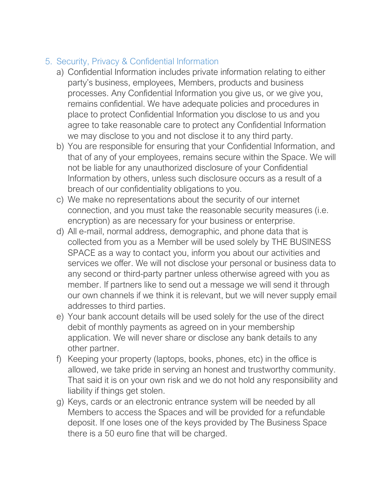# 5. Security, Privacy & Confidential Information

- a) Confidential Information includes private information relating to either party's business, employees, Members, products and business processes. Any Confidential Information you give us, or we give you, remains confidential. We have adequate policies and procedures in place to protect Confidential Information you disclose to us and you agree to take reasonable care to protect any Confidential Information we may disclose to you and not disclose it to any third party.
- b) You are responsible for ensuring that your Confidential Information, and that of any of your employees, remains secure within the Space. We will not be liable for any unauthorized disclosure of your Confidential Information by others, unless such disclosure occurs as a result of a breach of our confidentiality obligations to you.
- c) We make no representations about the security of our internet connection, and you must take the reasonable security measures (i.e. encryption) as are necessary for your business or enterprise.
- d) All e-mail, normal address, demographic, and phone data that is collected from you as a Member will be used solely by THE BUSINESS SPACE as a way to contact you, inform you about our activities and services we offer. We will not disclose your personal or business data to any second or third-party partner unless otherwise agreed with you as member. If partners like to send out a message we will send it through our own channels if we think it is relevant, but we will never supply email addresses to third parties.
- e) Your bank account details will be used solely for the use of the direct debit of monthly payments as agreed on in your membership application. We will never share or disclose any bank details to any other partner.
- f) Keeping your property (laptops, books, phones, etc) in the office is allowed, we take pride in serving an honest and trustworthy community. That said it is on your own risk and we do not hold any responsibility and liability if things get stolen.
- g) Keys, cards or an electronic entrance system will be needed by all Members to access the Spaces and will be provided for a refundable deposit. If one loses one of the keys provided by The Business Space there is a 50 euro fine that will be charged.